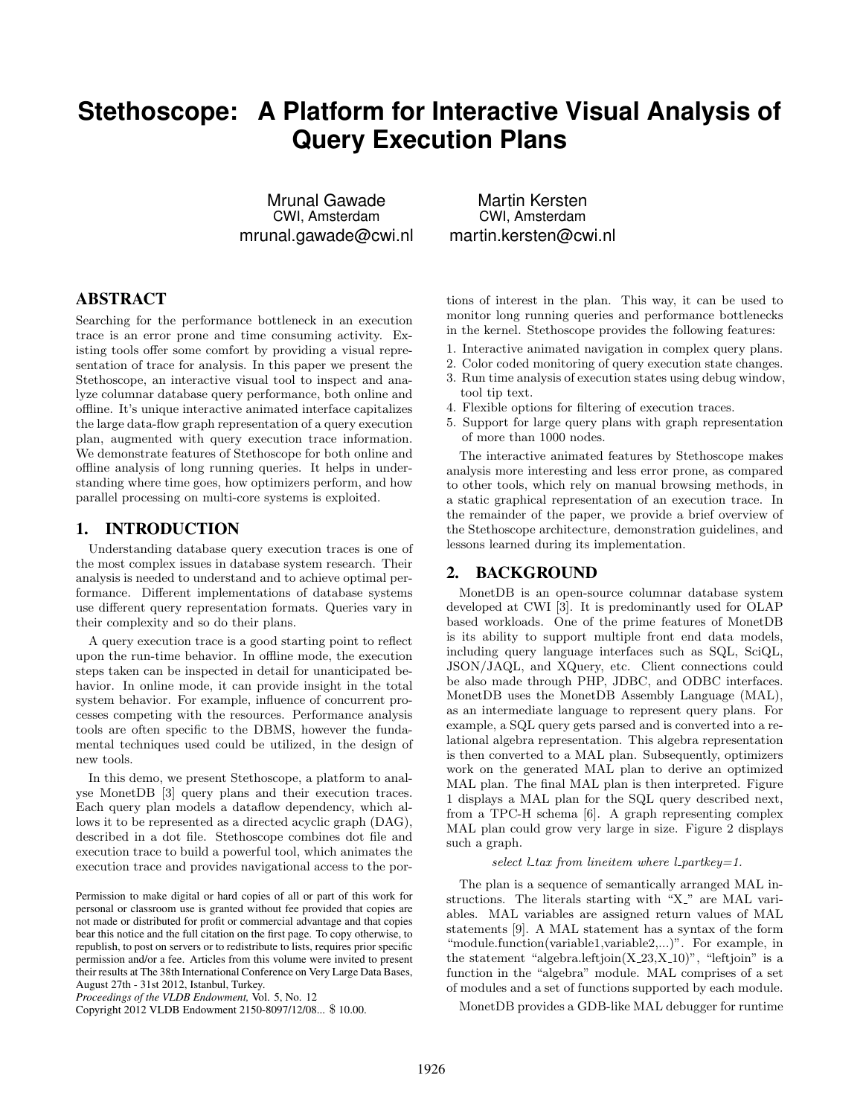# **Stethoscope: A Platform for Interactive Visual Analysis of Query Execution Plans**

Mrunal Gawade CWI, Amsterdam mrunal.gawade@cwi.nl

Martin Kersten CWI, Amsterdam martin.kersten@cwi.nl

## ABSTRACT

Searching for the performance bottleneck in an execution trace is an error prone and time consuming activity. Existing tools offer some comfort by providing a visual representation of trace for analysis. In this paper we present the Stethoscope, an interactive visual tool to inspect and analyze columnar database query performance, both online and offline. It's unique interactive animated interface capitalizes the large data-flow graph representation of a query execution plan, augmented with query execution trace information. We demonstrate features of Stethoscope for both online and offline analysis of long running queries. It helps in understanding where time goes, how optimizers perform, and how parallel processing on multi-core systems is exploited.

#### 1. INTRODUCTION

Understanding database query execution traces is one of the most complex issues in database system research. Their analysis is needed to understand and to achieve optimal performance. Different implementations of database systems use different query representation formats. Queries vary in their complexity and so do their plans.

A query execution trace is a good starting point to reflect upon the run-time behavior. In offline mode, the execution steps taken can be inspected in detail for unanticipated behavior. In online mode, it can provide insight in the total system behavior. For example, influence of concurrent processes competing with the resources. Performance analysis tools are often specific to the DBMS, however the fundamental techniques used could be utilized, in the design of new tools.

In this demo, we present Stethoscope, a platform to analyse MonetDB [\[3\]](#page-3-0) query plans and their execution traces. Each query plan models a dataflow dependency, which allows it to be represented as a directed acyclic graph (DAG), described in a dot file. Stethoscope combines dot file and execution trace to build a powerful tool, which animates the execution trace and provides navigational access to the portions of interest in the plan. This way, it can be used to monitor long running queries and performance bottlenecks in the kernel. Stethoscope provides the following features:

- 1. Interactive animated navigation in complex query plans.
- 2. Color coded monitoring of query execution state changes.
- 3. Run time analysis of execution states using debug window, tool tip text.
- 4. Flexible options for filtering of execution traces.
- 5. Support for large query plans with graph representation of more than 1000 nodes.

The interactive animated features by Stethoscope makes analysis more interesting and less error prone, as compared to other tools, which rely on manual browsing methods, in a static graphical representation of an execution trace. In the remainder of the paper, we provide a brief overview of the Stethoscope architecture, demonstration guidelines, and lessons learned during its implementation.

### 2. BACKGROUND

MonetDB is an open-source columnar database system developed at CWI [\[3\]](#page-3-0). It is predominantly used for OLAP based workloads. One of the prime features of MonetDB is its ability to support multiple front end data models, including query language interfaces such as SQL, SciQL, JSON/JAQL, and XQuery, etc. Client connections could be also made through PHP, JDBC, and ODBC interfaces. MonetDB uses the MonetDB Assembly Language (MAL), as an intermediate language to represent query plans. For example, a SQL query gets parsed and is converted into a relational algebra representation. This algebra representation is then converted to a MAL plan. Subsequently, optimizers work on the generated MAL plan to derive an optimized MAL plan. The final MAL plan is then interpreted. Figure 1 displays a MAL plan for the SQL query described next, from a TPC-H schema [\[6\]](#page-3-1). A graph representing complex MAL plan could grow very large in size. Figure 2 displays such a graph.

#### select  $l$  tax from lineitem where  $l$ -partkey=1.

The plan is a sequence of semantically arranged MAL instructions. The literals starting with "X" are MAL variables. MAL variables are assigned return values of MAL statements [\[9\]](#page-3-2). A MAL statement has a syntax of the form "module.function(variable1,variable2,...)". For example, in the statement "algebra.leftjoin $(X_2, X_1, 10)$ ", "leftjoin" is a function in the "algebra" module. MAL comprises of a set of modules and a set of functions supported by each module.

MonetDB provides a GDB-like MAL debugger for runtime

Permission to make digital or hard copies of all or part of this work for personal or classroom use is granted without fee provided that copies are not made or distributed for profit or commercial advantage and that copies bear this notice and the full citation on the first page. To copy otherwise, to republish, to post on servers or to redistribute to lists, requires prior specific permission and/or a fee. Articles from this volume were invited to present their results at The 38th International Conference on Very Large Data Bases, August 27th - 31st 2012, Istanbul, Turkey.

*Proceedings of the VLDB Endowment,* Vol. 5, No. 12

Copyright 2012 VLDB Endowment 2150-8097/12/08... \$ 10.00.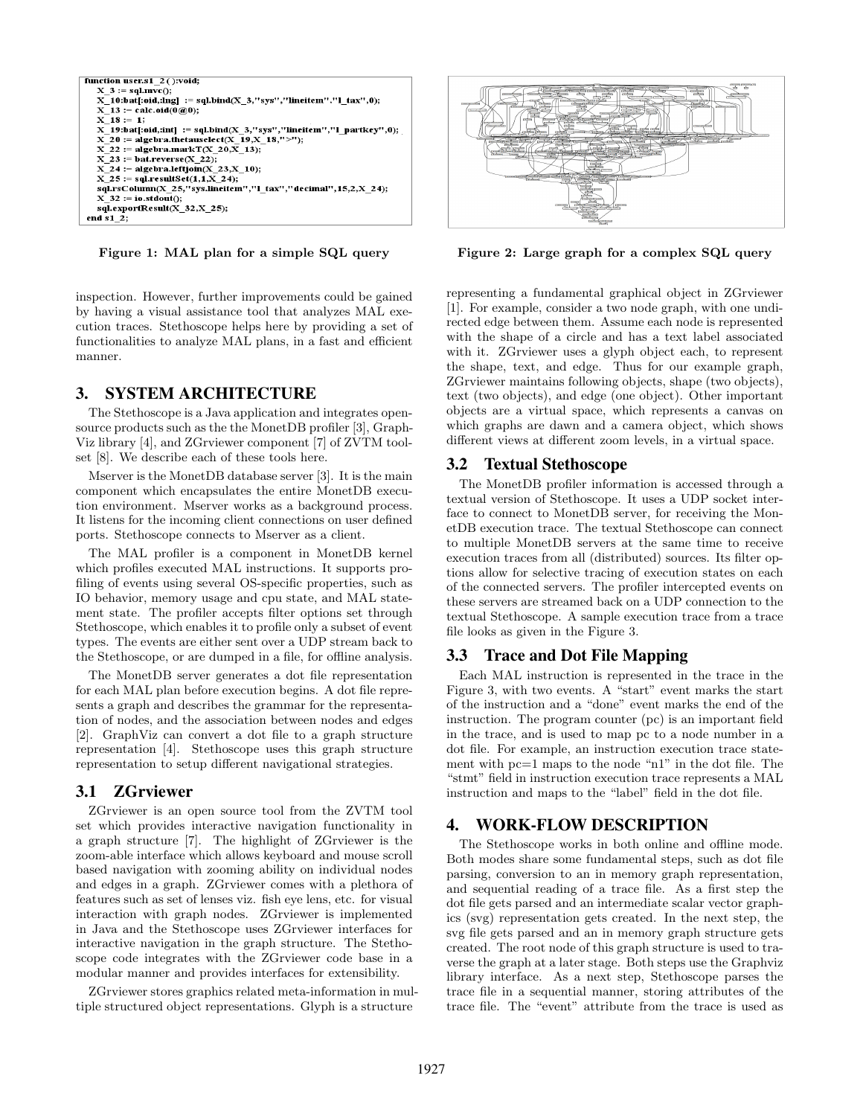

Figure 1: MAL plan for a simple SQL query

inspection. However, further improvements could be gained by having a visual assistance tool that analyzes MAL execution traces. Stethoscope helps here by providing a set of functionalities to analyze MAL plans, in a fast and efficient manner.

## 3. SYSTEM ARCHITECTURE

The Stethoscope is a Java application and integrates opensource products such as the the MonetDB profiler [\[3\]](#page-3-0), Graph-Viz library [\[4\]](#page-3-3), and ZGrviewer component [\[7\]](#page-3-4) of ZVTM toolset [\[8\]](#page-3-5). We describe each of these tools here.

Mserver is the MonetDB database server [\[3\]](#page-3-0). It is the main component which encapsulates the entire MonetDB execution environment. Mserver works as a background process. It listens for the incoming client connections on user defined ports. Stethoscope connects to Mserver as a client.

The MAL profiler is a component in MonetDB kernel which profiles executed MAL instructions. It supports profiling of events using several OS-specific properties, such as IO behavior, memory usage and cpu state, and MAL statement state. The profiler accepts filter options set through Stethoscope, which enables it to profile only a subset of event types. The events are either sent over a UDP stream back to the Stethoscope, or are dumped in a file, for offline analysis.

The MonetDB server generates a dot file representation for each MAL plan before execution begins. A dot file represents a graph and describes the grammar for the representation of nodes, and the association between nodes and edges [\[2\]](#page-3-6). GraphViz can convert a dot file to a graph structure representation [\[4\]](#page-3-3). Stethoscope uses this graph structure representation to setup different navigational strategies.

#### 3.1 ZGrviewer

ZGrviewer is an open source tool from the ZVTM tool set which provides interactive navigation functionality in a graph structure [\[7\]](#page-3-4). The highlight of ZGrviewer is the zoom-able interface which allows keyboard and mouse scroll based navigation with zooming ability on individual nodes and edges in a graph. ZGrviewer comes with a plethora of features such as set of lenses viz. fish eye lens, etc. for visual interaction with graph nodes. ZGrviewer is implemented in Java and the Stethoscope uses ZGrviewer interfaces for interactive navigation in the graph structure. The Stethoscope code integrates with the ZGrviewer code base in a modular manner and provides interfaces for extensibility.

ZGrviewer stores graphics related meta-information in multiple structured object representations. Glyph is a structure



Figure 2: Large graph for a complex SQL query

representing a fundamental graphical object in ZGrviewer [\[1\]](#page-3-7). For example, consider a two node graph, with one undirected edge between them. Assume each node is represented with the shape of a circle and has a text label associated with it. ZGrviewer uses a glyph object each, to represent the shape, text, and edge. Thus for our example graph, ZGrviewer maintains following objects, shape (two objects), text (two objects), and edge (one object). Other important objects are a virtual space, which represents a canvas on which graphs are dawn and a camera object, which shows different views at different zoom levels, in a virtual space.

#### 3.2 Textual Stethoscope

The MonetDB profiler information is accessed through a textual version of Stethoscope. It uses a UDP socket interface to connect to MonetDB server, for receiving the MonetDB execution trace. The textual Stethoscope can connect to multiple MonetDB servers at the same time to receive execution traces from all (distributed) sources. Its filter options allow for selective tracing of execution states on each of the connected servers. The profiler intercepted events on these servers are streamed back on a UDP connection to the textual Stethoscope. A sample execution trace from a trace file looks as given in the Figure 3.

#### 3.3 Trace and Dot File Mapping

Each MAL instruction is represented in the trace in the Figure 3, with two events. A "start" event marks the start of the instruction and a "done" event marks the end of the instruction. The program counter (pc) is an important field in the trace, and is used to map pc to a node number in a dot file. For example, an instruction execution trace statement with  $\mathtt{pc}{=}1$  maps to the node "n1" in the dot file. The "stmt" field in instruction execution trace represents a MAL instruction and maps to the "label" field in the dot file.

#### 4. WORK-FLOW DESCRIPTION

The Stethoscope works in both online and offline mode. Both modes share some fundamental steps, such as dot file parsing, conversion to an in memory graph representation, and sequential reading of a trace file. As a first step the dot file gets parsed and an intermediate scalar vector graphics (svg) representation gets created. In the next step, the svg file gets parsed and an in memory graph structure gets created. The root node of this graph structure is used to traverse the graph at a later stage. Both steps use the Graphviz library interface. As a next step, Stethoscope parses the trace file in a sequential manner, storing attributes of the trace file. The "event" attribute from the trace is used as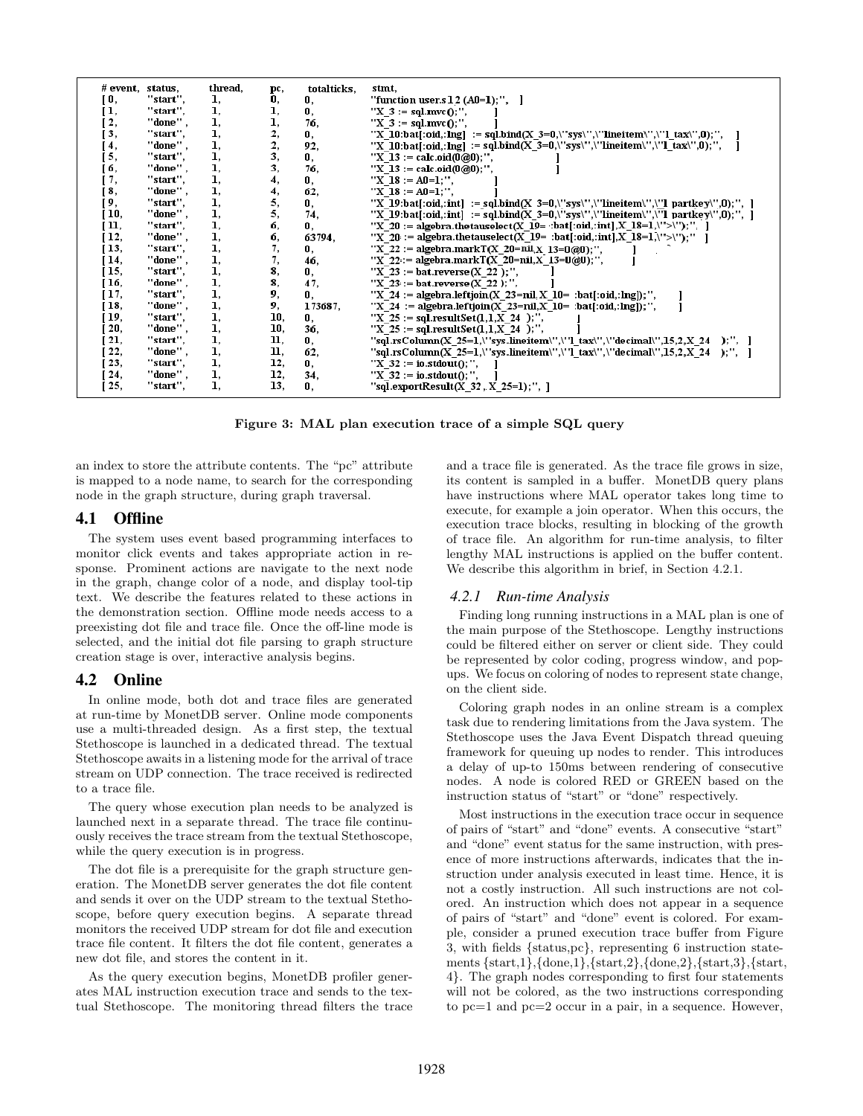| # event, | status.    | thread. | pc, | totalticks, | stmt.                                                                             |
|----------|------------|---------|-----|-------------|-----------------------------------------------------------------------------------|
| [ O,     | "start".   | 1,      | 0,  | O,          | "function user.s $12$ (A0=1);", ]                                                 |
| Ι.       | "start".   | ı.      | ı,  | O.          | " $X$ 3 := sql.mvc $0$ ;",                                                        |
| 2,       | "done" .   | ı.      | ı,  | 76.         | " $X$ 3 := sql.mvc $0$ :".                                                        |
| 3,       | "start",   | ı,      | 2,  | 0,          | "X 10:bat[:oid,:lng] := sql.bind(X 3=0,\"sys\",\"lineitem\",\"l tax\",0);",       |
| 4,       | "done",    | 1.      | 2,  | 92.         | "X 10:bat[:oid,:lng] := sql.bind(X_3=0,\"sys\",\"lineitem\",\"l_tax\",0);",       |
| [5,      | "start",   | ı.      | 3,  | 0.          | "X 13 := calc.oid(0@0);",                                                         |
| б,       | "done" .   | ı.      | 3,  | 76.         | "X 13 := calc.oid( $0@0$ );",                                                     |
| ſ7,      | "start",   | 1.      | 4,  | 0.          | "X 18 := $AD=1$ :".                                                               |
| 8,       | "done",    | 1.      | 4,  | 62.         | "X 18 := $AD=1$ :".                                                               |
| 9,       | "start",   | ı.      | 5,  | 0,          | "X 19:bat[:oid,:int] := sql.bind(X 3=0,\"sys\",\"lineitem\",\"l partkey\",0);", ] |
| 10,      | ''done'' , | 1.      | 5,  | 74.         | "X 19:bat[:oid,:int] := sql.bind(X 3=0,\"sys\",\"lineitem\",\"l partkey\",0);", ] |
| 11,      | "start".   | 1.      | б,  | 0.          | "X 20 := algebra.thetauselect(X 19= :bat[:oid,:int],X 18=1,\">\");", ]            |
| 12,      | "done" .   | ı,      | б,  | 63794,      | "X 20: = algebra.thetauselect(X_19= :bat[:oid,:int],X_18=1,\">\");"               |
| 13.      | "start".   | 1.      | 7,  | 0.          | "X 22 := algebra.markT(X 20= $\text{nil}_{X}$ 13=0@0):".                          |
| 14,      | "done",    | 1,      | 7,  | 46,         | "X 22: = algebra.mark $T(X \ 20=nil, X \ 13=0 \omega, 0)$ ;",                     |
| 15,      | "start".   | ı.      | 8,  | 0,          | "X 23 := bat.reverse(X 22 );",                                                    |
| 16,      | ''done'' , | 1.      | 8,  | 47.         | "X 23 := bat.reverse $(X 22)$ ;",                                                 |
| 17,      | "start",   | ı.      | 9,  | 0,          | "X 24 := algebra.leftjoin(X 23=nil, X 10= :bat[:oid,:lng]);",                     |
| 18,      | "done" .   | ı.      | 9,  | 173687,     | "X 24 := algebra.leftjoin(X 23=nil,X 10= :bat[:oid,:lng]);",                      |
| 19,      | "start".   | 1.      | 10, | 0.          | "X 25 := sql.resultSet $(1,1,X, 24)$ ;",                                          |
| 20,      | "done" .   | ı,      | 10, | 36.         | "X 25 := sql.resultSet $(1,1,X_24)$ ;",                                           |
| 21,      | "start",   | ı.      | 11, | 0.          | "sql.rsColumn(X 25=1,\"sys.lineitem\",\"1 tax\",\"decimal\",15,2,X 24 );", ]      |
| 22,      | ''done'' , | ı.      | 11. | 62.         | "sql.rsColumn(X 25=1,\"sys.lineitem\",\"1 tax\",\"decimal\",15,2,X 24 );", 1      |
| 23,      | "start",   | ı,      | 12, | 0.          | "X $32 := \text{io.stdout}()$ ;",                                                 |
| 24,      | "done" ,   | 1,      | 12, | 34,         | "X $32 := \text{io.stdout}()$ ;",                                                 |
| 25,      | "start",   | ı.      | 13, | 0.          | "sql.export $Result(X_32, X_25=1);$ ", ]                                          |

Figure 3: MAL plan execution trace of a simple SQL query

an index to store the attribute contents. The "pc" attribute is mapped to a node name, to search for the corresponding node in the graph structure, during graph traversal.

#### 4.1 Offline

The system uses event based programming interfaces to monitor click events and takes appropriate action in response. Prominent actions are navigate to the next node in the graph, change color of a node, and display tool-tip text. We describe the features related to these actions in the demonstration section. Offline mode needs access to a preexisting dot file and trace file. Once the off-line mode is selected, and the initial dot file parsing to graph structure creation stage is over, interactive analysis begins.

#### 4.2 Online

In online mode, both dot and trace files are generated at run-time by MonetDB server. Online mode components use a multi-threaded design. As a first step, the textual Stethoscope is launched in a dedicated thread. The textual Stethoscope awaits in a listening mode for the arrival of trace stream on UDP connection. The trace received is redirected to a trace file.

The query whose execution plan needs to be analyzed is launched next in a separate thread. The trace file continuously receives the trace stream from the textual Stethoscope, while the query execution is in progress.

The dot file is a prerequisite for the graph structure generation. The MonetDB server generates the dot file content and sends it over on the UDP stream to the textual Stethoscope, before query execution begins. A separate thread monitors the received UDP stream for dot file and execution trace file content. It filters the dot file content, generates a new dot file, and stores the content in it.

As the query execution begins, MonetDB profiler generates MAL instruction execution trace and sends to the textual Stethoscope. The monitoring thread filters the trace and a trace file is generated. As the trace file grows in size, its content is sampled in a buffer. MonetDB query plans have instructions where MAL operator takes long time to execute, for example a join operator. When this occurs, the execution trace blocks, resulting in blocking of the growth of trace file. An algorithm for run-time analysis, to filter lengthy MAL instructions is applied on the buffer content. We describe this algorithm in brief, in Section 4.2.1.

#### *4.2.1 Run-time Analysis*

Finding long running instructions in a MAL plan is one of the main purpose of the Stethoscope. Lengthy instructions could be filtered either on server or client side. They could be represented by color coding, progress window, and popups. We focus on coloring of nodes to represent state change, on the client side.

Coloring graph nodes in an online stream is a complex task due to rendering limitations from the Java system. The Stethoscope uses the Java Event Dispatch thread queuing framework for queuing up nodes to render. This introduces a delay of up-to 150ms between rendering of consecutive nodes. A node is colored RED or GREEN based on the instruction status of "start" or "done" respectively.

Most instructions in the execution trace occur in sequence of pairs of "start" and "done" events. A consecutive "start" and "done" event status for the same instruction, with presence of more instructions afterwards, indicates that the instruction under analysis executed in least time. Hence, it is not a costly instruction. All such instructions are not colored. An instruction which does not appear in a sequence of pairs of "start" and "done" event is colored. For example, consider a pruned execution trace buffer from Figure 3, with fields {status,pc}, representing 6 instruction statements {start,1},{done,1},{start,2},{done,2},{start,3},{start, 4}. The graph nodes corresponding to first four statements will not be colored, as the two instructions corresponding to pc=1 and pc=2 occur in a pair, in a sequence. However,